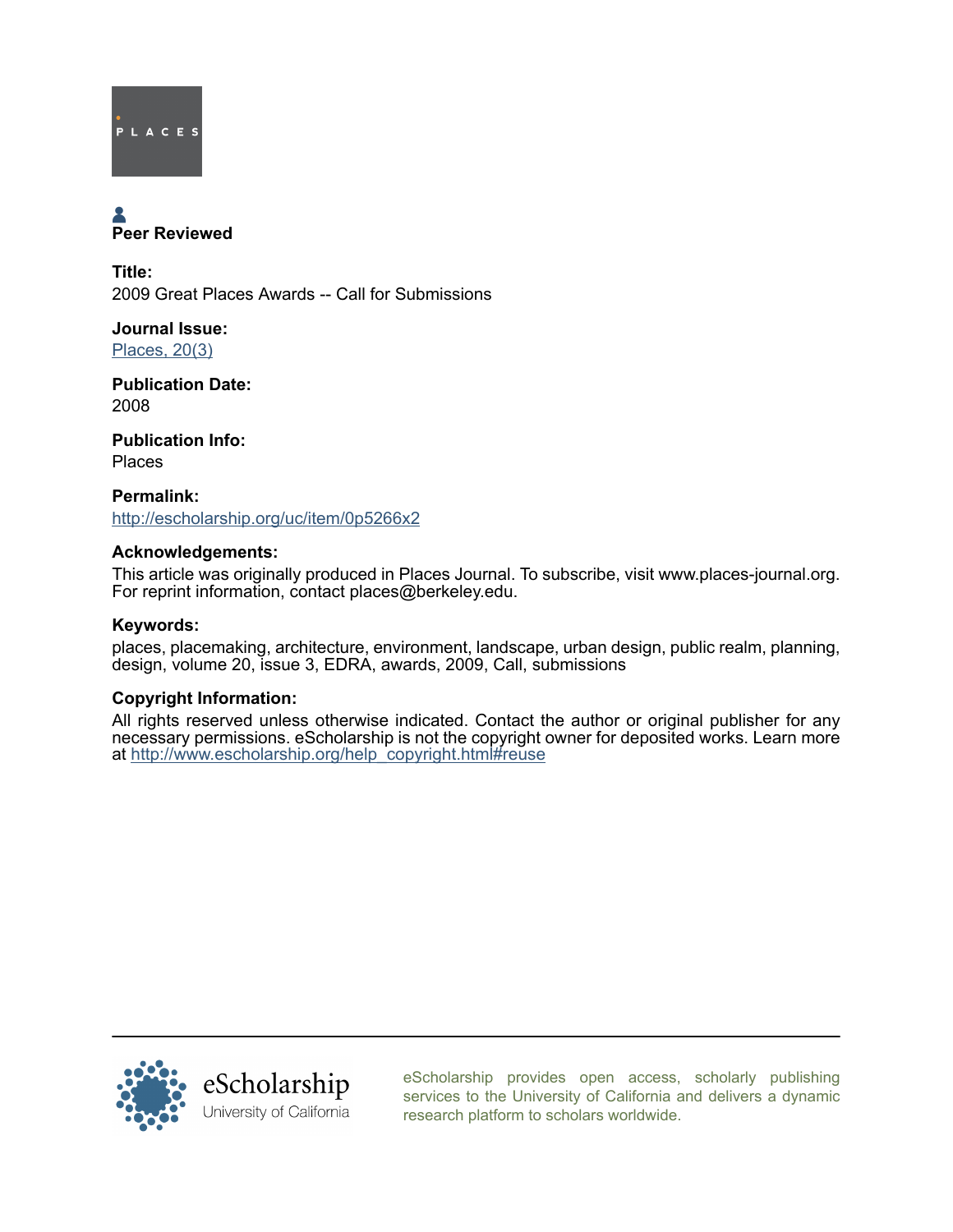

# Peer Reviewed

Title: 2009 Great Places Awards -- Call for Submissions

Journal Issue: [Places, 20\(3\)](http://escholarship.org/uc/ced_places?volume=20;issue=3)

Publication Date: 2008

Publication Info: Places

Permalink: <http://escholarship.org/uc/item/0p5266x2>

### Acknowledgements:

This article was originally produced in Places Journal. To subscribe, visit www.places-journal.org. For reprint information, contact places@berkeley.edu.

### Keywords:

places, placemaking, architecture, environment, landscape, urban design, public realm, planning, design, volume 20, issue 3, EDRA, awards, 2009, Call, submissions

## Copyright Information:

All rights reserved unless otherwise indicated. Contact the author or original publisher for any necessary permissions. eScholarship is not the copyright owner for deposited works. Learn more at [http://www.escholarship.org/help\\_copyright.html#reuse](http://www.escholarship.org/help_copyright.html#reuse)



[eScholarship provides open access, scholarly publishing](http://escholarship.org) [services to the University of California and delivers a dynamic](http://escholarship.org) [research platform to scholars worldwide.](http://escholarship.org)